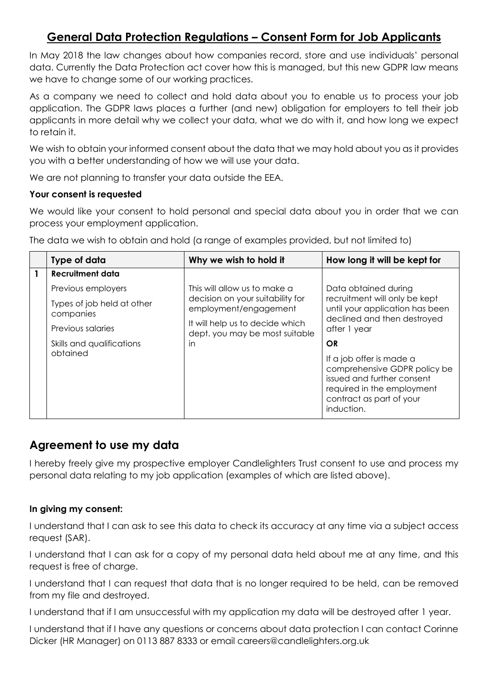## **General Data Protection Regulations – Consent Form for Job Applicants**

In May 2018 the law changes about how companies record, store and use individuals' personal data. Currently the Data Protection act cover how this is managed, but this new GDPR law means we have to change some of our working practices.

As a company we need to collect and hold data about you to enable us to process your job application. The GDPR laws places a further (and new) obligation for employers to tell their job applicants in more detail why we collect your data, what we do with it, and how long we expect to retain it.

We wish to obtain your informed consent about the data that we may hold about you as it provides you with a better understanding of how we will use your data.

We are not planning to transfer your data outside the EEA.

## **Your consent is requested**

We would like your consent to hold personal and special data about you in order that we can process your employment application.

|  | Type of data                            | Why we wish to hold it                                                                                                                                         | How long it will be kept for                                                                                                                                   |
|--|-----------------------------------------|----------------------------------------------------------------------------------------------------------------------------------------------------------------|----------------------------------------------------------------------------------------------------------------------------------------------------------------|
|  | Recruitment data                        |                                                                                                                                                                |                                                                                                                                                                |
|  | Previous employers                      | This will allow us to make a<br>decision on your suitability for<br>employment/engagement<br>It will help us to decide which<br>dept. you may be most suitable | Data obtained during<br>recruitment will only be kept<br>until your application has been<br>declined and then destroyed<br>after 1 year                        |
|  | Types of job held at other<br>companies |                                                                                                                                                                |                                                                                                                                                                |
|  | Previous salaries                       |                                                                                                                                                                |                                                                                                                                                                |
|  | Skills and qualifications               | in                                                                                                                                                             | OR                                                                                                                                                             |
|  | obtained                                |                                                                                                                                                                | If a job offer is made a<br>comprehensive GDPR policy be<br>issued and further consent<br>required in the employment<br>contract as part of your<br>induction. |

The data we wish to obtain and hold (a range of examples provided, but not limited to)

## **Agreement to use my data**

I hereby freely give my prospective employer Candlelighters Trust consent to use and process my personal data relating to my job application (examples of which are listed above).

## **In giving my consent:**

I understand that I can ask to see this data to check its accuracy at any time via a subject access request (SAR).

I understand that I can ask for a copy of my personal data held about me at any time, and this request is free of charge.

I understand that I can request that data that is no longer required to be held, can be removed from my file and destroyed.

I understand that if I am unsuccessful with my application my data will be destroyed after 1 year.

I understand that if I have any questions or concerns about data protection I can contact Corinne Dicker (HR Manager) on 0113 887 8333 or email careers@candlelighters.org.uk